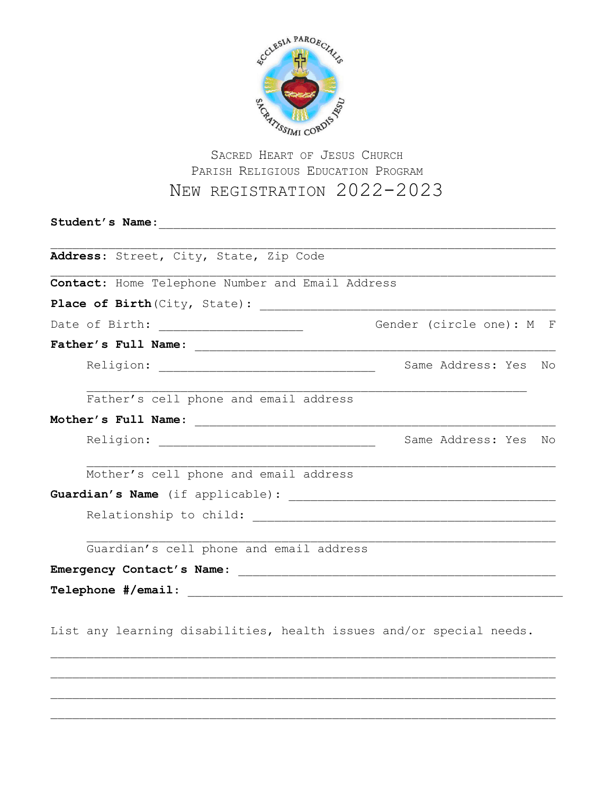

## PARISH RELIGIOUS EDUCATION PROGRAM NEW REGISTRATION 2022-2023

| Address: Street, City, State, Zip Code                                                            |                                                                      |
|---------------------------------------------------------------------------------------------------|----------------------------------------------------------------------|
| Contact: Home Telephone Number and Email Address                                                  |                                                                      |
|                                                                                                   |                                                                      |
|                                                                                                   | Gender (circle one): M F                                             |
|                                                                                                   |                                                                      |
|                                                                                                   | Same Address: Yes<br>Νo                                              |
| Father's cell phone and email address                                                             |                                                                      |
|                                                                                                   | Same Address: Yes<br>No                                              |
| Mother's cell phone and email address                                                             |                                                                      |
|                                                                                                   |                                                                      |
| Relationship to child: The Contract of the Contract of the Contract of the Relationship to child: |                                                                      |
| Guardian's cell phone and email address                                                           |                                                                      |
| Emergency Contact's Name:                                                                         | <u> 1989 - Johann Barn, mars an t-Amerikaansk politiker (* 1908)</u> |
|                                                                                                   |                                                                      |
| List any learning disabilities, health issues and/or special needs.                               |                                                                      |

 $\mathcal{L}_\text{max} = \frac{1}{2} \sum_{i=1}^n \mathcal{L}_\text{max}(\mathbf{z}_i - \mathbf{z}_i)$ 

 $\mathcal{L}_\text{max} = \frac{1}{2} \sum_{i=1}^n \mathcal{L}_\text{max}(\mathbf{z}_i - \mathbf{z}_i)$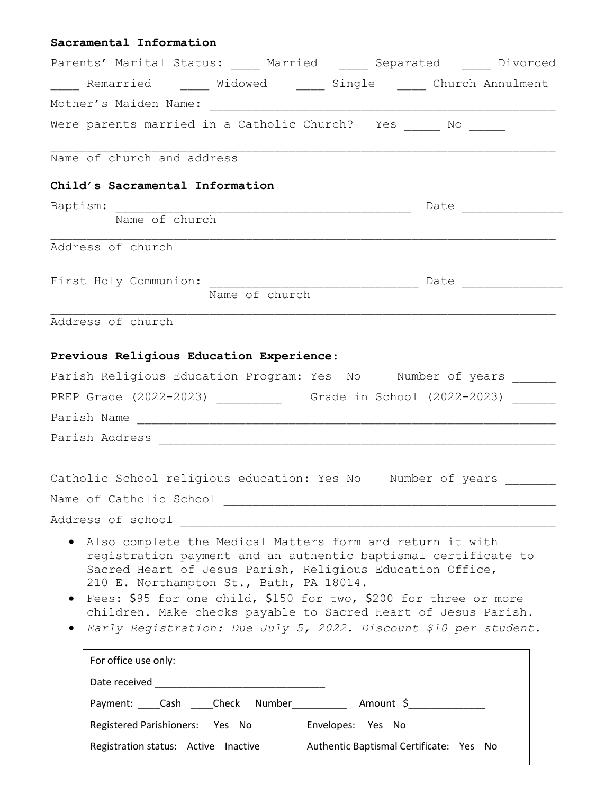## **Sacramental Information** Parents' Marital Status: Married and Separated Divorced \_\_\_\_\_ Remarried \_\_\_\_\_ Widowed \_\_\_\_\_ Single \_\_\_\_\_ Church Annulment Mother's Maiden Name: Were parents married in a Catholic Church? Yes \_\_\_\_\_ No \_\_\_\_\_  $\mathcal{L}_\text{max} = \frac{1}{2} \sum_{i=1}^n \mathcal{L}_\text{max}(\mathbf{z}_i - \mathbf{z}_i)$ Name of church and address **Child's Sacramental Information** Baptism: \_\_\_\_\_\_\_\_\_\_\_\_\_\_\_\_\_\_\_\_\_\_\_\_\_\_\_\_\_\_\_\_\_\_\_\_\_\_\_\_\_ Date \_\_\_\_\_\_\_\_\_\_\_\_\_\_ Name of church  $\mathcal{L}_\text{max} = \frac{1}{2} \sum_{i=1}^n \mathcal{L}_\text{max}(\mathbf{z}_i - \mathbf{z}_i)$ Address of church First Holy Communion: \_\_\_\_\_\_\_\_\_\_\_\_\_\_\_\_\_\_\_\_\_\_\_\_\_\_\_\_\_ Date \_\_\_\_\_\_\_\_\_\_\_\_\_\_ Name of church Address of church **Previous Religious Education Experience**: Parish Religious Education Program: Yes No Mumber of years PREP Grade (2022-2023) \_\_\_\_\_\_\_\_\_ Grade in School (2022-2023) \_\_\_\_\_\_ Parish Name \_\_\_\_\_\_\_\_\_\_\_\_\_\_\_\_\_\_\_\_\_\_\_\_\_\_\_\_\_\_\_\_\_\_\_\_\_\_\_\_\_\_\_\_\_\_\_\_\_\_\_\_\_\_\_\_\_\_ Parish Address \_\_\_\_\_\_\_\_\_\_\_\_\_\_\_\_\_\_\_\_\_\_\_\_\_\_\_\_\_\_\_\_\_\_\_\_\_\_\_\_\_\_\_\_\_\_\_\_\_\_\_\_\_\_\_ Catholic School religious education: Yes No Number of years Name of Catholic School \_\_\_\_\_\_\_\_\_\_\_\_\_\_\_\_\_\_\_\_\_\_\_\_\_\_\_\_\_\_\_\_\_\_\_\_\_\_\_\_\_\_\_\_\_\_ Address of school Also complete the Medical Matters form and return it with registration payment and an authentic baptismal certificate to Sacred Heart of Jesus Parish, Religious Education Office, 210 E. Northampton St., Bath, PA 18014. • Fees: \$95 for one child, \$150 for two, \$200 for three or more children. Make checks payable to Sacred Heart of Jesus Parish. *Early Registration: Due July 5, 2022. Discount \$10 per student.*  For office use only: Date received \_\_\_\_\_\_\_\_\_\_\_\_\_\_\_\_\_\_\_\_\_\_\_\_\_\_\_\_\_\_\_ Payment: \_\_\_\_Cash \_\_\_\_Check Number\_\_\_\_\_\_\_\_\_\_\_ Amount \$\_\_\_\_\_\_\_\_\_\_\_\_\_\_\_ Registered Parishioners: Yes No Envelopes: Yes No Registration status: Active Inactive Authentic Baptismal Certificate: Yes No